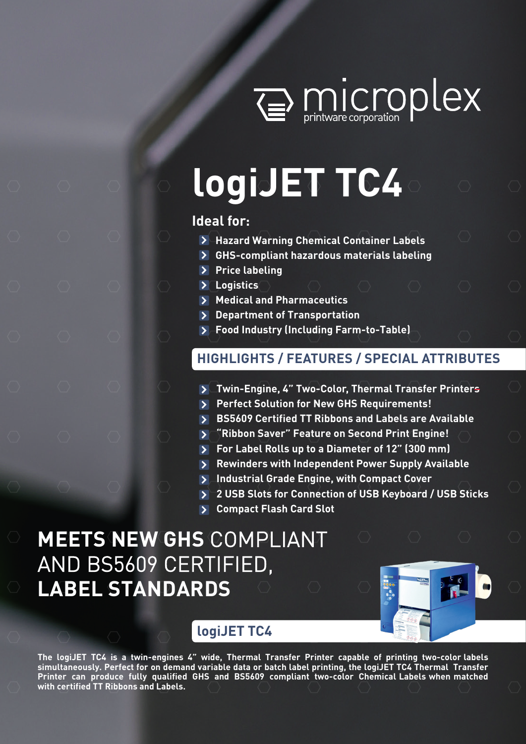

# **logiJET TC4**

# **Ideal for:**

- **Hazard Warning Chemical Container Labels**
- **GHS-compliant hazardous materials labeling**
- **Price labeling**
- **Logistics**
- **Medical and Pharmaceutics**
- **Department of Transportation**
- **Food Industry (Including Farm-to-Table)**

# **HIGHLIGHTS / FEATURES / SPECIAL ATTRIBUTES**

- **Twin-Engine, 4" Two-Color, Thermal Transfer Printers**
- **Perfect Solution for New GHS Requirements!**
- **BS5609 Certified TT Ribbons and Labels are Available**
- **"Ribbon Saver" Feature on Second Print Engine!**
- **For Label Rolls up to a Diameter of 12" (300 mm)**
- **Rewinders with Independent Power Supply Available**
- **Industrial Grade Engine, with Compact Cover**
- **2 USB Slots for Connection of USB Keyboard / USB Sticks**
- **Compact Flash Card Slot**

# **MEETS NEW GHS** COMPLIANT AND BS5609 CERTIFIED, **LABEL STANDARDS**



# **logiJET TC4**

**The logiJET TC4 is a twin-engines 4" wide, Thermal Transfer Printer capable of printing two-color labels simultaneously. Perfect for on demand variable data or batch label printing, the logiJET TC4 Thermal Transfer Printer can produce fully qualified GHS and BS5609 compliant two-color Chemical Labels when matched with certified TT Ribbons and Labels.**